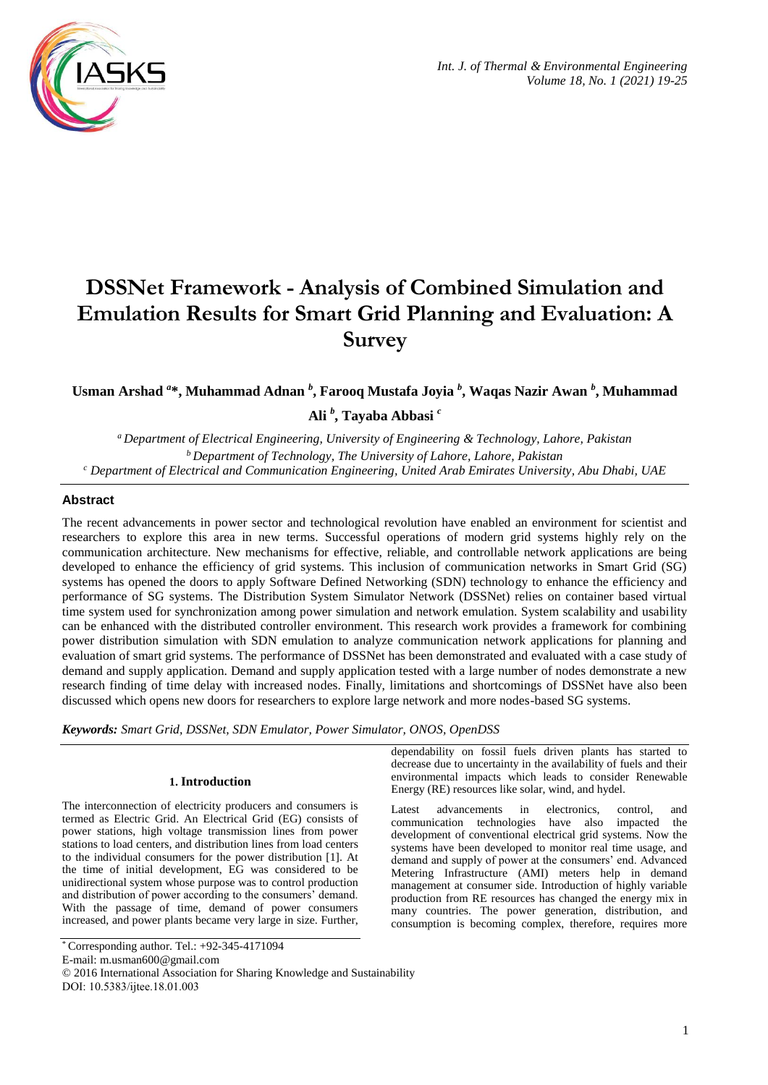

# **DSSNet Framework - Analysis of Combined Simulation and Emulation Results for Smart Grid Planning and Evaluation: A Survey**

# **Usman Arshad** *<sup>a</sup>* **\*, Muhammad Adnan** *<sup>b</sup>* **, Farooq Mustafa Joyia** *<sup>b</sup>* **, Waqas Nazir Awan** *<sup>b</sup>* **, Muhammad**

**Ali** *<sup>b</sup>* **, Tayaba Abbasi** *<sup>c</sup>*

*<sup>a</sup>Department of Electrical Engineering, University of Engineering & Technology, Lahore, Pakistan <sup>b</sup>Department of Technology, The University of Lahore, Lahore, Pakistan <sup>c</sup> Department of Electrical and Communication Engineering, United Arab Emirates University, Abu Dhabi, UAE*

# **Abstract**

The recent advancements in power sector and technological revolution have enabled an environment for scientist and researchers to explore this area in new terms. Successful operations of modern grid systems highly rely on the communication architecture. New mechanisms for effective, reliable, and controllable network applications are being developed to enhance the efficiency of grid systems. This inclusion of communication networks in Smart Grid (SG) systems has opened the doors to apply Software Defined Networking (SDN) technology to enhance the efficiency and performance of SG systems. The Distribution System Simulator Network (DSSNet) relies on container based virtual time system used for synchronization among power simulation and network emulation. System scalability and usability can be enhanced with the distributed controller environment. This research work provides a framework for combining power distribution simulation with SDN emulation to analyze communication network applications for planning and evaluation of smart grid systems. The performance of DSSNet has been demonstrated and evaluated with a case study of demand and supply application. Demand and supply application tested with a large number of nodes demonstrate a new research finding of time delay with increased nodes. Finally, limitations and shortcomings of DSSNet have also been discussed which opens new doors for researchers to explore large network and more nodes-based SG systems.

*Keywords: Smart Grid, DSSNet, SDN Emulator, Power Simulator, ONOS, OpenDSS*

# **1. Introduction**

The interconnection of electricity producers and consumers is termed as Electric Grid. An Electrical Grid (EG) consists of power stations, high voltage transmission lines from power stations to load centers, and distribution lines from load centers to the individual consumers for the power distribution [1]. At the time of initial development, EG was considered to be unidirectional system whose purpose was to control production and distribution of power according to the consumers' demand. With the passage of time, demand of power consumers increased, and power plants became very large in size. Further,

E-mail: m.usman600@gmail.com

DOI: 10.5383/ijtee.18.01.003

dependability on fossil fuels driven plants has started to decrease due to uncertainty in the availability of fuels and their environmental impacts which leads to consider Renewable Energy (RE) resources like solar, wind, and hydel.

Latest advancements in electronics, control, and communication technologies have also impacted the development of conventional electrical grid systems. Now the systems have been developed to monitor real time usage, and demand and supply of power at the consumers' end. Advanced Metering Infrastructure (AMI) meters help in demand management at consumer side. Introduction of highly variable production from RE resources has changed the energy mix in many countries. The power generation, distribution, and consumption is becoming complex, therefore, requires more

<sup>\*</sup> Corresponding author. Tel.: +92-345-4171094

<sup>© 2016</sup> International Association for Sharing Knowledge and Sustainability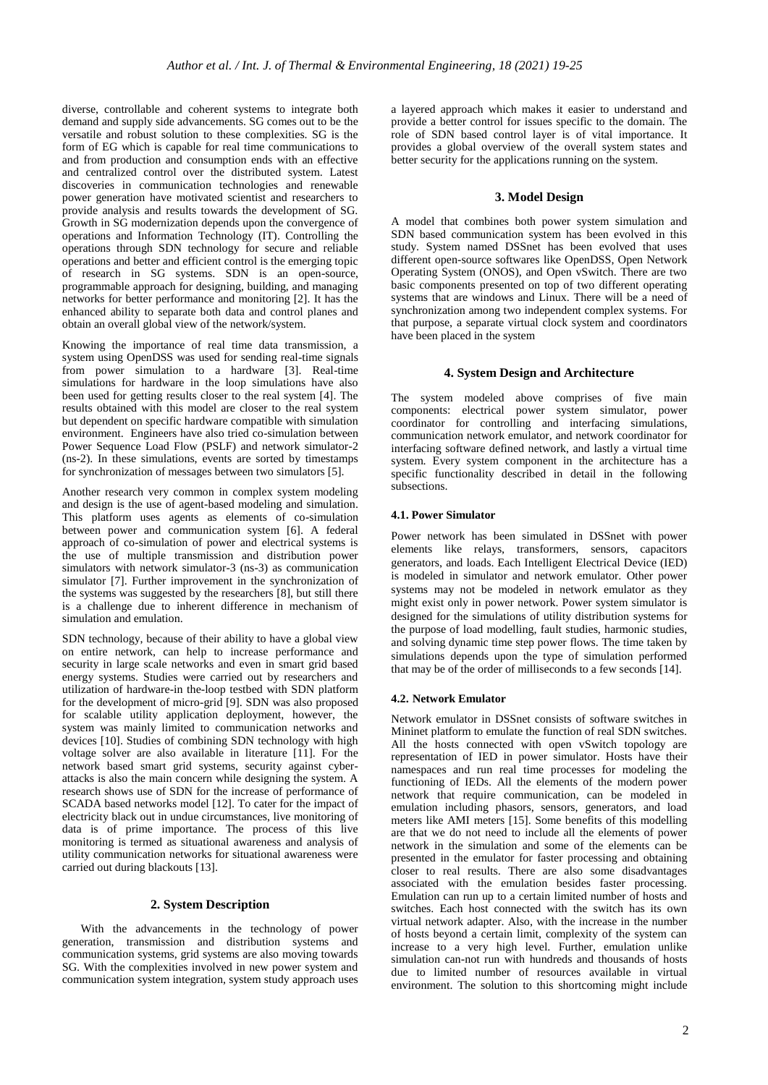diverse, controllable and coherent systems to integrate both demand and supply side advancements. SG comes out to be the versatile and robust solution to these complexities. SG is the form of EG which is capable for real time communications to and from production and consumption ends with an effective and centralized control over the distributed system. Latest discoveries in communication technologies and renewable power generation have motivated scientist and researchers to provide analysis and results towards the development of SG. Growth in SG modernization depends upon the convergence of operations and Information Technology (IT). Controlling the operations through SDN technology for secure and reliable operations and better and efficient control is the emerging topic of research in SG systems. SDN is an open-source, programmable approach for designing, building, and managing networks for better performance and monitoring [2]. It has the enhanced ability to separate both data and control planes and obtain an overall global view of the network/system.

Knowing the importance of real time data transmission, a system using OpenDSS was used for sending real-time signals from power simulation to a hardware [3]. Real-time simulations for hardware in the loop simulations have also been used for getting results closer to the real system [4]. The results obtained with this model are closer to the real system but dependent on specific hardware compatible with simulation environment. Engineers have also tried co-simulation between Power Sequence Load Flow (PSLF) and network simulator-2 (ns-2). In these simulations, events are sorted by timestamps for synchronization of messages between two simulators [5].

Another research very common in complex system modeling and design is the use of agent-based modeling and simulation. This platform uses agents as elements of co-simulation between power and communication system [6]. A federal approach of co-simulation of power and electrical systems is the use of multiple transmission and distribution power simulators with network simulator-3 (ns-3) as communication simulator [7]. Further improvement in the synchronization of the systems was suggested by the researchers [8], but still there is a challenge due to inherent difference in mechanism of simulation and emulation.

SDN technology, because of their ability to have a global view on entire network, can help to increase performance and security in large scale networks and even in smart grid based energy systems. Studies were carried out by researchers and utilization of hardware-in the-loop testbed with SDN platform for the development of micro-grid [9]. SDN was also proposed for scalable utility application deployment, however, the system was mainly limited to communication networks and devices [10]. Studies of combining SDN technology with high voltage solver are also available in literature [11]. For the network based smart grid systems, security against cyberattacks is also the main concern while designing the system. A research shows use of SDN for the increase of performance of SCADA based networks model [12]. To cater for the impact of electricity black out in undue circumstances, live monitoring of data is of prime importance. The process of this live monitoring is termed as situational awareness and analysis of utility communication networks for situational awareness were carried out during blackouts [13].

# **2. System Description**

With the advancements in the technology of power generation, transmission and distribution systems and communication systems, grid systems are also moving towards SG. With the complexities involved in new power system and communication system integration, system study approach uses

a layered approach which makes it easier to understand and provide a better control for issues specific to the domain. The role of SDN based control layer is of vital importance. It provides a global overview of the overall system states and better security for the applications running on the system.

## **3. Model Design**

A model that combines both power system simulation and SDN based communication system has been evolved in this study. System named DSSnet has been evolved that uses different open-source softwares like OpenDSS, Open Network Operating System (ONOS), and Open vSwitch. There are two basic components presented on top of two different operating systems that are windows and Linux. There will be a need of synchronization among two independent complex systems. For that purpose, a separate virtual clock system and coordinators have been placed in the system

# **4. System Design and Architecture**

The system modeled above comprises of five main components: electrical power system simulator, power coordinator for controlling and interfacing simulations, communication network emulator, and network coordinator for interfacing software defined network, and lastly a virtual time system. Every system component in the architecture has a specific functionality described in detail in the following subsections.

# **4.1. Power Simulator**

Power network has been simulated in DSSnet with power elements like relays, transformers, sensors, capacitors generators, and loads. Each Intelligent Electrical Device (IED) is modeled in simulator and network emulator. Other power systems may not be modeled in network emulator as they might exist only in power network. Power system simulator is designed for the simulations of utility distribution systems for the purpose of load modelling, fault studies, harmonic studies, and solving dynamic time step power flows. The time taken by simulations depends upon the type of simulation performed that may be of the order of milliseconds to a few seconds [14].

# **4.2. Network Emulator**

Network emulator in DSSnet consists of software switches in Mininet platform to emulate the function of real SDN switches. All the hosts connected with open vSwitch topology are representation of IED in power simulator. Hosts have their namespaces and run real time processes for modeling the functioning of IEDs. All the elements of the modern power network that require communication, can be modeled in emulation including phasors, sensors, generators, and load meters like AMI meters [15]. Some benefits of this modelling are that we do not need to include all the elements of power network in the simulation and some of the elements can be presented in the emulator for faster processing and obtaining closer to real results. There are also some disadvantages associated with the emulation besides faster processing. Emulation can run up to a certain limited number of hosts and switches. Each host connected with the switch has its own virtual network adapter. Also, with the increase in the number of hosts beyond a certain limit, complexity of the system can increase to a very high level. Further, emulation unlike simulation can-not run with hundreds and thousands of hosts due to limited number of resources available in virtual environment. The solution to this shortcoming might include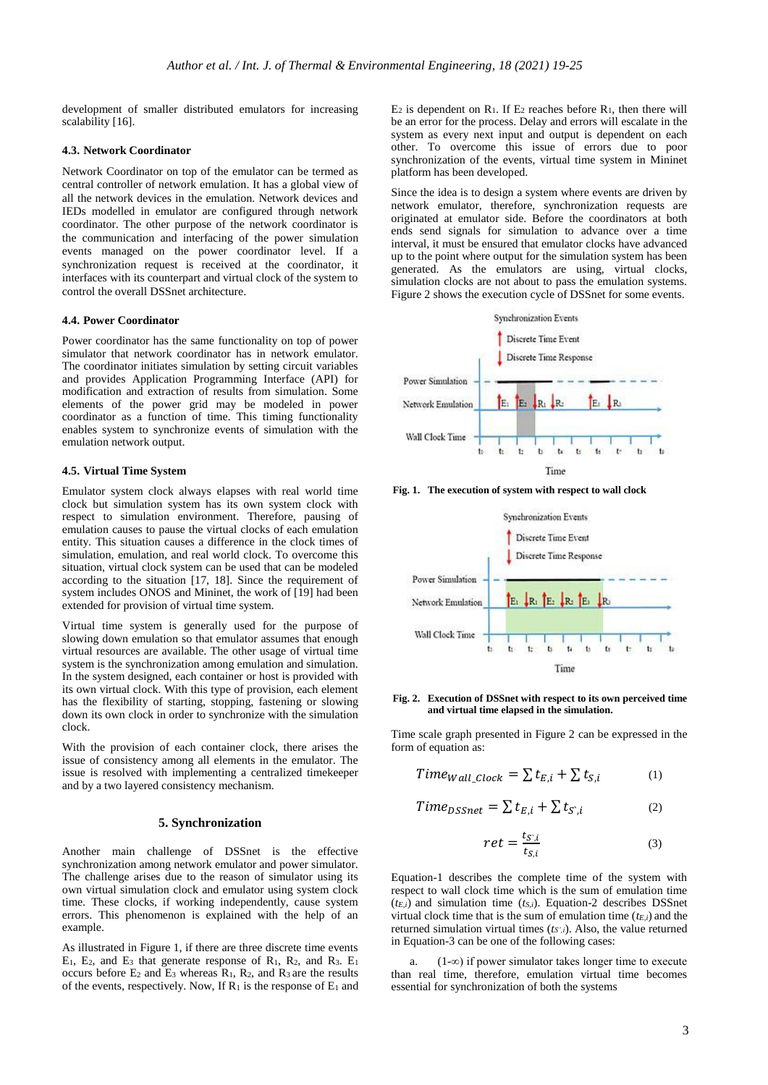development of smaller distributed emulators for increasing scalability [16].

#### **4.3. Network Coordinator**

Network Coordinator on top of the emulator can be termed as central controller of network emulation. It has a global view of all the network devices in the emulation. Network devices and IEDs modelled in emulator are configured through network coordinator. The other purpose of the network coordinator is the communication and interfacing of the power simulation events managed on the power coordinator level. If a synchronization request is received at the coordinator, it interfaces with its counterpart and virtual clock of the system to control the overall DSSnet architecture.

#### **4.4. Power Coordinator**

Power coordinator has the same functionality on top of power simulator that network coordinator has in network emulator. The coordinator initiates simulation by setting circuit variables and provides Application Programming Interface (API) for modification and extraction of results from simulation. Some elements of the power grid may be modeled in power coordinator as a function of time. This timing functionality enables system to synchronize events of simulation with the emulation network output.

# **4.5. Virtual Time System**

Emulator system clock always elapses with real world time clock but simulation system has its own system clock with respect to simulation environment. Therefore, pausing of emulation causes to pause the virtual clocks of each emulation entity. This situation causes a difference in the clock times of simulation, emulation, and real world clock. To overcome this situation, virtual clock system can be used that can be modeled according to the situation [17, 18]. Since the requirement of system includes ONOS and Mininet, the work of [19] had been extended for provision of virtual time system.

Virtual time system is generally used for the purpose of slowing down emulation so that emulator assumes that enough virtual resources are available. The other usage of virtual time system is the synchronization among emulation and simulation. In the system designed, each container or host is provided with its own virtual clock. With this type of provision, each element has the flexibility of starting, stopping, fastening or slowing down its own clock in order to synchronize with the simulation clock.

With the provision of each container clock, there arises the issue of consistency among all elements in the emulator. The issue is resolved with implementing a centralized timekeeper and by a two layered consistency mechanism.

# **5. Synchronization**

Another main challenge of DSSnet is the effective synchronization among network emulator and power simulator. The challenge arises due to the reason of simulator using its own virtual simulation clock and emulator using system clock time. These clocks, if working independently, cause system errors. This phenomenon is explained with the help of an example.

As illustrated in Figure 1, if there are three discrete time events  $E_1$ ,  $E_2$ , and  $E_3$  that generate response of  $R_1$ ,  $R_2$ , and  $R_3$ .  $E_1$ occurs before  $E_2$  and  $E_3$  whereas  $R_1$ ,  $R_2$ , and  $R_3$  are the results of the events, respectively. Now, If  $R_1$  is the response of  $E_1$  and  $E_2$  is dependent on R<sub>1</sub>. If  $E_2$  reaches before R<sub>1</sub>, then there will be an error for the process. Delay and errors will escalate in the system as every next input and output is dependent on each other. To overcome this issue of errors due to poor synchronization of the events, virtual time system in Mininet platform has been developed.

Since the idea is to design a system where events are driven by network emulator, therefore, synchronization requests are originated at emulator side. Before the coordinators at both ends send signals for simulation to advance over a time interval, it must be ensured that emulator clocks have advanced up to the point where output for the simulation system has been generated. As the emulators are using, virtual clocks, simulation clocks are not about to pass the emulation systems. Figure 2 shows the execution cycle of DSSnet for some events.



**Fig. 1. The execution of system with respect to wall clock**



**Fig. 2. Execution of DSSnet with respect to its own perceived time and virtual time elapsed in the simulation.**

Time scale graph presented in Figure 2 can be expressed in the form of equation as:

$$
Time_{Wall\_Clock} = \sum t_{E,i} + \sum t_{S,i} \tag{1}
$$

$$
Time_{DSSnet} = \sum t_{E,i} + \sum t_{S,i}
$$
 (2)

$$
ret = \frac{t_{S,i}}{t_{S,i}} \tag{3}
$$

Equation-1 describes the complete time of the system with respect to wall clock time which is the sum of emulation time  $(t_{E,i})$  and simulation time  $(t_{S,i})$ . Equation-2 describes DSSnet virtual clock time that is the sum of emulation time (*tE,i*) and the returned simulation virtual times (*tS',i*). Also, the value returned in Equation-3 can be one of the following cases:

a. (1-∞) if power simulator takes longer time to execute than real time, therefore, emulation virtual time becomes essential for synchronization of both the systems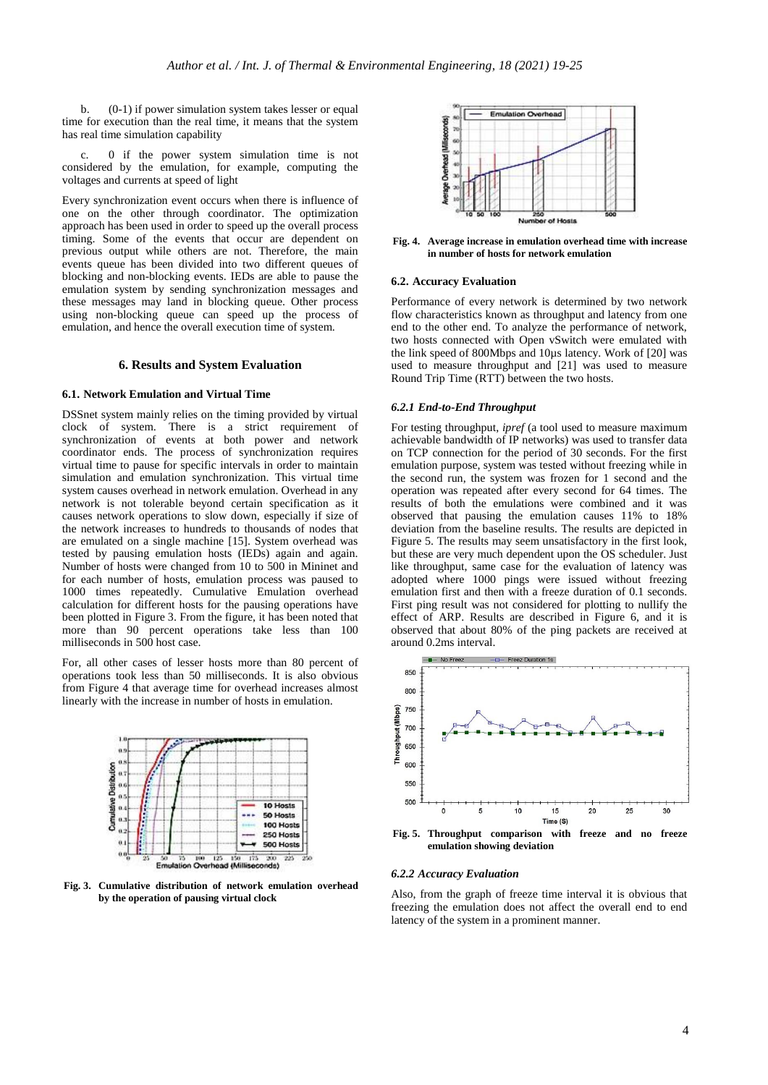b. (0-1) if power simulation system takes lesser or equal time for execution than the real time, it means that the system has real time simulation capability

c. 0 if the power system simulation time is not considered by the emulation, for example, computing the voltages and currents at speed of light

Every synchronization event occurs when there is influence of one on the other through coordinator. The optimization approach has been used in order to speed up the overall process timing. Some of the events that occur are dependent on previous output while others are not. Therefore, the main events queue has been divided into two different queues of blocking and non-blocking events. IEDs are able to pause the emulation system by sending synchronization messages and these messages may land in blocking queue. Other process using non-blocking queue can speed up the process of emulation, and hence the overall execution time of system.

# **6. Results and System Evaluation**

# **6.1. Network Emulation and Virtual Time**

DSSnet system mainly relies on the timing provided by virtual clock of system. There is a strict requirement of synchronization of events at both power and network coordinator ends. The process of synchronization requires virtual time to pause for specific intervals in order to maintain simulation and emulation synchronization. This virtual time system causes overhead in network emulation. Overhead in any network is not tolerable beyond certain specification as it causes network operations to slow down, especially if size of the network increases to hundreds to thousands of nodes that are emulated on a single machine [15]. System overhead was tested by pausing emulation hosts (IEDs) again and again. Number of hosts were changed from 10 to 500 in Mininet and for each number of hosts, emulation process was paused to 1000 times repeatedly. Cumulative Emulation overhead calculation for different hosts for the pausing operations have been plotted in Figure 3. From the figure, it has been noted that more than 90 percent operations take less than 100 milliseconds in 500 host case.

For, all other cases of lesser hosts more than 80 percent of operations took less than 50 milliseconds. It is also obvious from Figure 4 that average time for overhead increases almost linearly with the increase in number of hosts in emulation.



**Fig. 3. Cumulative distribution of network emulation overhead by the operation of pausing virtual clock** 



**Fig. 4. Average increase in emulation overhead time with increase in number of hosts for network emulation** 

#### **6.2. Accuracy Evaluation**

Performance of every network is determined by two network flow characteristics known as throughput and latency from one end to the other end. To analyze the performance of network, two hosts connected with Open vSwitch were emulated with the link speed of 800Mbps and 10µs latency. Work of [20] was used to measure throughput and [21] was used to measure Round Trip Time (RTT) between the two hosts.

#### *6.2.1 End-to-End Throughput*

For testing throughput, *ipref* (a tool used to measure maximum achievable bandwidth of IP networks) was used to transfer data on TCP connection for the period of 30 seconds. For the first emulation purpose, system was tested without freezing while in the second run, the system was frozen for 1 second and the operation was repeated after every second for 64 times. The results of both the emulations were combined and it was observed that pausing the emulation causes 11% to 18% deviation from the baseline results. The results are depicted in Figure 5. The results may seem unsatisfactory in the first look, but these are very much dependent upon the OS scheduler. Just like throughput, same case for the evaluation of latency was adopted where 1000 pings were issued without freezing emulation first and then with a freeze duration of 0.1 seconds. First ping result was not considered for plotting to nullify the effect of ARP. Results are described in Figure 6, and it is observed that about 80% of the ping packets are received at around 0.2ms interval.



**emulation showing deviation**

#### *6.2.2 Accuracy Evaluation*

Also, from the graph of freeze time interval it is obvious that freezing the emulation does not affect the overall end to end latency of the system in a prominent manner.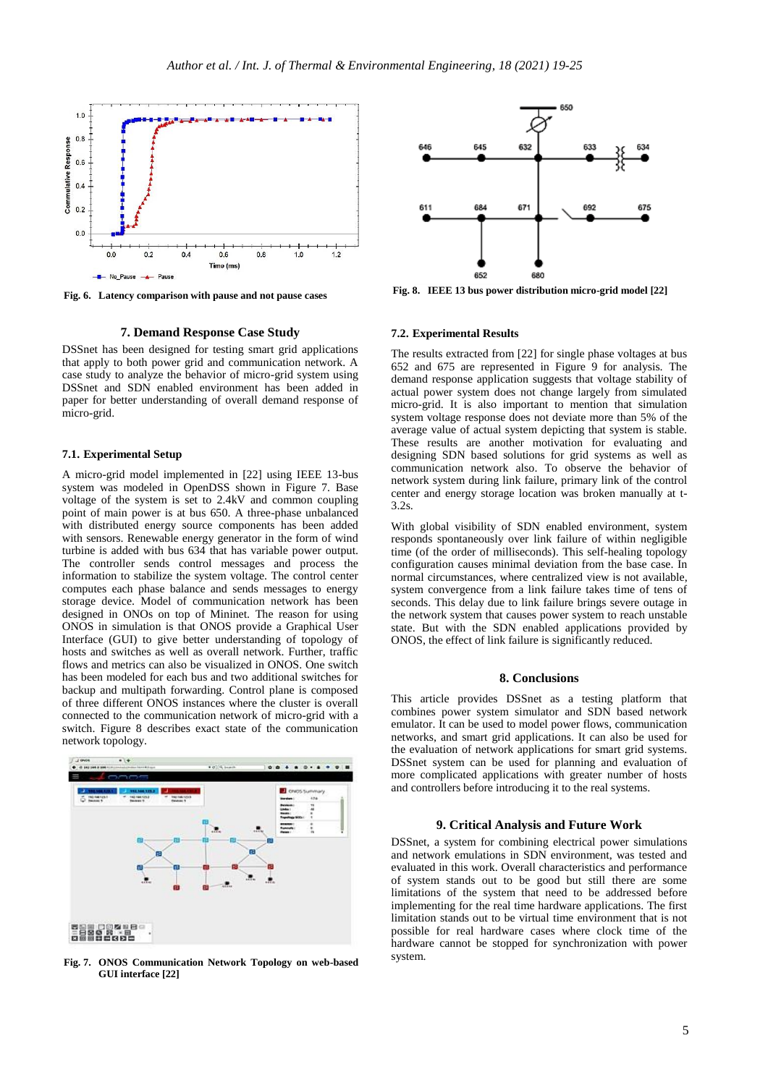

**Fig. 6. Latency comparison with pause and not pause cases**

# **7. Demand Response Case Study**

DSSnet has been designed for testing smart grid applications that apply to both power grid and communication network. A case study to analyze the behavior of micro-grid system using DSSnet and SDN enabled environment has been added in paper for better understanding of overall demand response of micro-grid.

#### **7.1. Experimental Setup**

A micro-grid model implemented in [22] using IEEE 13-bus system was modeled in OpenDSS shown in Figure 7. Base voltage of the system is set to 2.4kV and common coupling point of main power is at bus 650. A three-phase unbalanced with distributed energy source components has been added with sensors. Renewable energy generator in the form of wind turbine is added with bus 634 that has variable power output. The controller sends control messages and process the information to stabilize the system voltage. The control center computes each phase balance and sends messages to energy storage device. Model of communication network has been designed in ONOs on top of Mininet. The reason for using ONOS in simulation is that ONOS provide a Graphical User Interface (GUI) to give better understanding of topology of hosts and switches as well as overall network. Further, traffic flows and metrics can also be visualized in ONOS. One switch has been modeled for each bus and two additional switches for backup and multipath forwarding. Control plane is composed of three different ONOS instances where the cluster is overall connected to the communication network of micro-grid with a switch. Figure 8 describes exact state of the communication network topology.



**Fig. 7. ONOS Communication Network Topology on web-based GUI interface [22]**



**Fig. 8. IEEE 13 bus power distribution micro-grid model [22]**

## **7.2. Experimental Results**

The results extracted from [22] for single phase voltages at bus 652 and 675 are represented in Figure 9 for analysis. The demand response application suggests that voltage stability of actual power system does not change largely from simulated micro-grid. It is also important to mention that simulation system voltage response does not deviate more than 5% of the average value of actual system depicting that system is stable. These results are another motivation for evaluating and designing SDN based solutions for grid systems as well as communication network also. To observe the behavior of network system during link failure, primary link of the control center and energy storage location was broken manually at t-3.2s.

With global visibility of SDN enabled environment, system responds spontaneously over link failure of within negligible time (of the order of milliseconds). This self-healing topology configuration causes minimal deviation from the base case. In normal circumstances, where centralized view is not available, system convergence from a link failure takes time of tens of seconds. This delay due to link failure brings severe outage in the network system that causes power system to reach unstable state. But with the SDN enabled applications provided by ONOS, the effect of link failure is significantly reduced.

## **8. Conclusions**

This article provides DSSnet as a testing platform that combines power system simulator and SDN based network emulator. It can be used to model power flows, communication networks, and smart grid applications. It can also be used for the evaluation of network applications for smart grid systems. DSSnet system can be used for planning and evaluation of more complicated applications with greater number of hosts and controllers before introducing it to the real systems.

# **9. Critical Analysis and Future Work**

DSSnet, a system for combining electrical power simulations and network emulations in SDN environment, was tested and evaluated in this work. Overall characteristics and performance of system stands out to be good but still there are some limitations of the system that need to be addressed before implementing for the real time hardware applications. The first limitation stands out to be virtual time environment that is not possible for real hardware cases where clock time of the hardware cannot be stopped for synchronization with power system.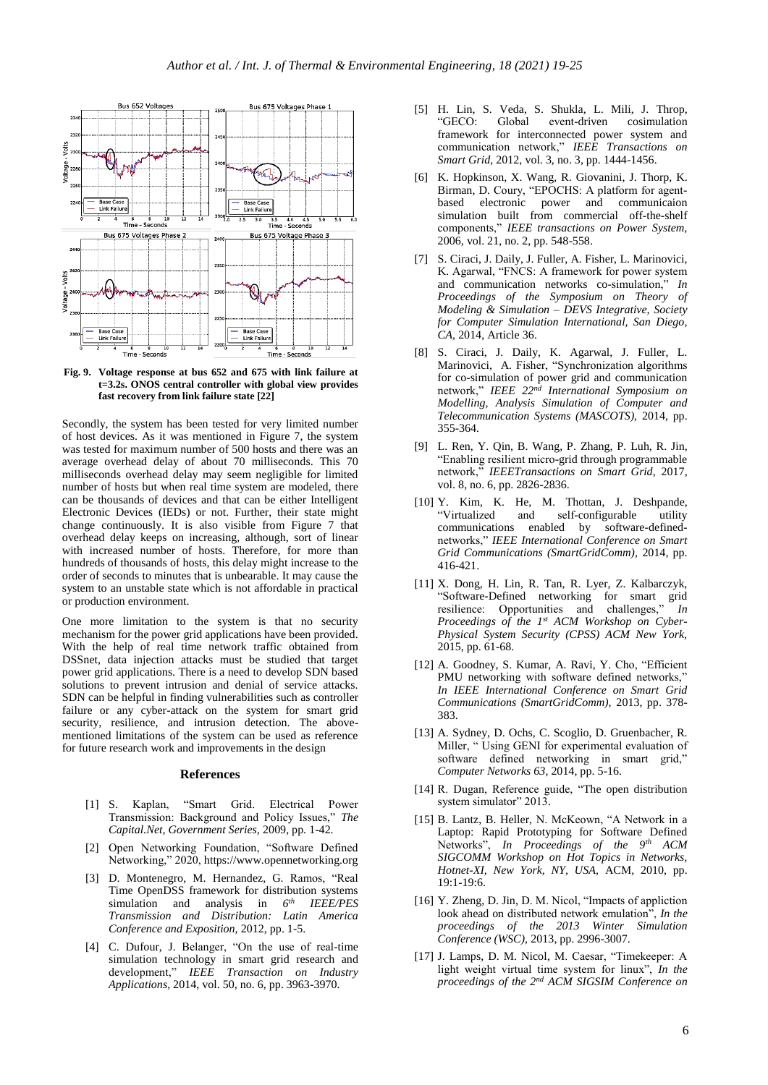

**Fig. 9. Voltage response at bus 652 and 675 with link failure at t=3.2s. ONOS central controller with global view provides fast recovery from link failure state [22]**

Secondly, the system has been tested for very limited number of host devices. As it was mentioned in Figure 7, the system was tested for maximum number of 500 hosts and there was an average overhead delay of about 70 milliseconds. This 70 milliseconds overhead delay may seem negligible for limited number of hosts but when real time system are modeled, there can be thousands of devices and that can be either Intelligent Electronic Devices (IEDs) or not. Further, their state might change continuously. It is also visible from Figure 7 that overhead delay keeps on increasing, although, sort of linear with increased number of hosts. Therefore, for more than hundreds of thousands of hosts, this delay might increase to the order of seconds to minutes that is unbearable. It may cause the system to an unstable state which is not affordable in practical or production environment.

One more limitation to the system is that no security mechanism for the power grid applications have been provided. With the help of real time network traffic obtained from DSSnet, data injection attacks must be studied that target power grid applications. There is a need to develop SDN based solutions to prevent intrusion and denial of service attacks. SDN can be helpful in finding vulnerabilities such as controller failure or any cyber-attack on the system for smart grid security, resilience, and intrusion detection. The abovementioned limitations of the system can be used as reference for future research work and improvements in the design

# **References**

- [1] S. Kaplan, "Smart Grid. Electrical Power Transmission: Background and Policy Issues," *The Capital.Net, Government Series,* 2009, pp. 1-42.
- [2] Open Networking Foundation, "Software Defined Networking," 2020, https://www.opennetworking.org
- [3] D. Montenegro, M. Hernandez, G. Ramos, "Real Time OpenDSS framework for distribution systems simulation and analysis in  $6<sup>th</sup>$ *th IEEE/PES Transmission and Distribution: Latin America Conference and Exposition,* 2012, pp. 1-5.
- [4] C. Dufour, J. Belanger, "On the use of real-time simulation technology in smart grid research and development," *IEEE Transaction on Industry Applications,* 2014, vol. 50, no. 6, pp. 3963-3970.
- [5] H. Lin, S. Veda, S. Shukla, L. Mili, J. Throp, event-driven framework for interconnected power system and communication network," *IEEE Transactions on Smart Grid,* 2012, vol. 3, no. 3, pp. 1444-1456.
- [6] K. Hopkinson, X. Wang, R. Giovanini, J. Thorp, K. Birman, D. Coury, "EPOCHS: A platform for agentbased electronic power and communicaion simulation built from commercial off-the-shelf components," *IEEE transactions on Power System,*  2006, vol. 21, no. 2, pp. 548-558.
- [7] S. Ciraci, J. Daily, J. Fuller, A. Fisher, L. Marinovici, K. Agarwal, "FNCS: A framework for power system and communication networks co-simulation," *In Proceedings of the Symposium on Theory of Modeling & Simulation – DEVS Integrative, Society for Computer Simulation International, San Diego, CA,* 2014, Article 36.
- [8] S. Ciraci, J. Daily, K. Agarwal, J. Fuller, L. Marinovici, A. Fisher, "Synchronization algorithms for co-simulation of power grid and communication network," *IEEE 22nd International Symposium on Modelling, Analysis Simulation of Computer and Telecommunication Systems (MASCOTS),* 2014, pp. 355-364*.*
- [9] L. Ren, Y. Qin, B. Wang, P. Zhang, P. Luh, R. Jin, "Enabling resilient micro-grid through programmable network," *IEEETransactions on Smart Grid,* 2017, vol. 8, no. 6, pp. 2826-2836.
- [10] Y. Kim, K. He, M. Thottan, J. Deshpande, "Virtualized and self-configurable utility communications enabled by software-definednetworks," *IEEE International Conference on Smart Grid Communications (SmartGridComm),* 2014, pp. 416-421.
- [11] X. Dong, H. Lin, R. Tan, R. Lyer, Z. Kalbarczyk, "Software-Defined networking for smart grid resilience: Opportunities and challenges," *In Proceedings of the 1st ACM Workshop on Cyber-Physical System Security (CPSS) ACM New York,* 2015, pp. 61-68.
- [12] A. Goodney, S. Kumar, A. Ravi, Y. Cho, "Efficient PMU networking with software defined networks," *In IEEE International Conference on Smart Grid Communications (SmartGridComm),* 2013, pp. 378- 383.
- [13] A. Sydney, D. Ochs, C. Scoglio, D. Gruenbacher, R. Miller, " Using GENI for experimental evaluation of software defined networking in smart grid," *Computer Networks 63,* 2014, pp. 5-16.
- [14] R. Dugan, Reference guide, "The open distribution system simulator" 2013.
- [15] B. Lantz, B. Heller, N. McKeown, "A Network in a Laptop: Rapid Prototyping for Software Defined Networks", *In Proceedings of the 9th ACM SIGCOMM Workshop on Hot Topics in Networks, Hotnet-XI, New York, NY, USA,* ACM, 2010, pp. 19:1-19:6.
- [16] Y. Zheng, D. Jin, D. M. Nicol, "Impacts of appliction look ahead on distributed network emulation", *In the proceedings of the 2013 Winter Simulation Conference (WSC),* 2013, pp. 2996-3007.
- [17] J. Lamps, D. M. Nicol, M. Caesar, "Timekeeper: A light weight virtual time system for linux", *In the proceedings of the 2nd ACM SIGSIM Conference on*